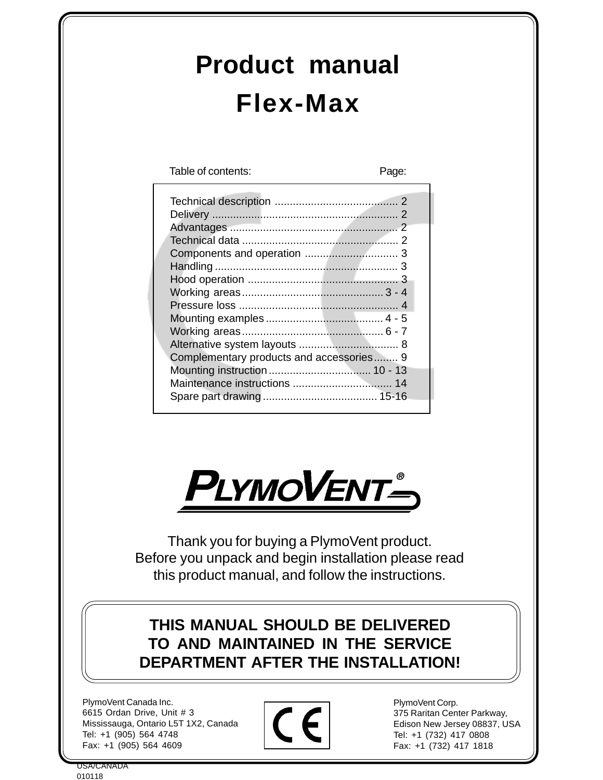## **Product manual Flex-Max**

Table of contents: Page:

| Complementary products and accessories 9 |  |
|------------------------------------------|--|
|                                          |  |
|                                          |  |
|                                          |  |
|                                          |  |



Thank you for buying a PlymoVent product. Before you unpack and begin installation please read this product manual, and follow the instructions.

**THIS MANUAL SHOULD BE DELIVERED TO AND MAINTAINED IN THE SERVICE DEPARTMENT AFTER THE INSTALLATION!**

PlymoVent Canada Inc. 6615 Ordan Drive, Unit # 3 Mississauga, Ontario L5T 1X2, Canada Tel: +1 (905) 564 4748 Fax: +1 (905) 564 4609



PlymoVent Corp. 375 Raritan Center Parkway, Edison New Jersey 08837, USA Tel: +1 (732) 417 0808 Fax: +1 (732) 417 1818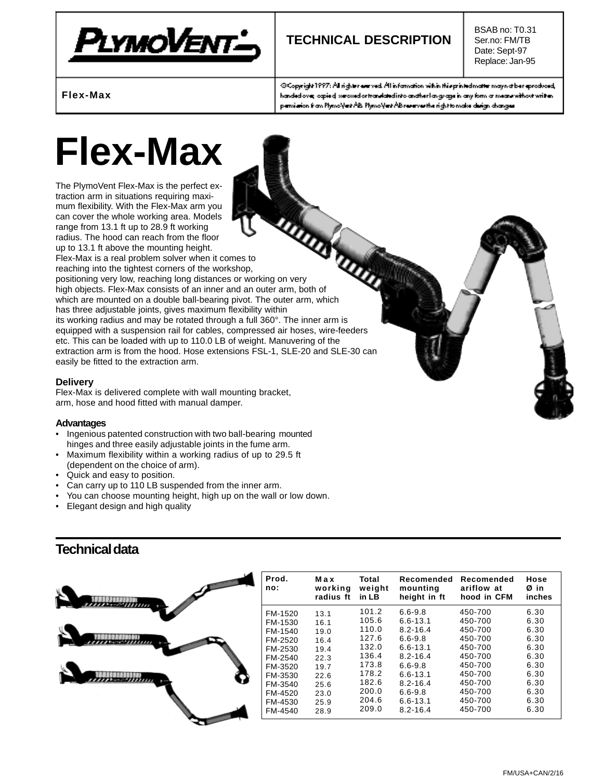

## **TECHNICAL DESCRIPTION**

BSAB no: T0.31 Ser.no: FM/TB Date: Sept-97 Replace: Jan-95

**Flex-Max**

@Copyright1997: All righter everyed. All information within this printed matter may not be reproduced, handed over opied we wed or translated into anather language in any form a means without written. pemiaion from PlymoVert AB. PlymoVert AB reserves the right to make design changes.

# **Flex-Max**

The PlymoVent Flex-Max is the perfect extraction arm in situations requiring maximum flexibility. With the Flex-Max arm you can cover the whole working area. Models range from 13.1 ft up to 28.9 ft working radius. The hood can reach from the floor up to 13.1 ft above the mounting height. Flex-Max is a real problem solver when it comes to reaching into the tightest corners of the workshop, mum and cover the whole in the top 28.9 ht we.<br>
range from 13.1 ft up to 28.9 ht we.<br>
radius. The hood can reach from the floor<br>
up to 13.1 ft above the mounting height.<br>
Flex-Max is a real problem solver when it comes to<br> high objects. Flex-Max consists of an inner and an outer arm, both of which are mounted on a double ball-bearing pivot. The outer arm, which has three adjustable joints, gives maximum flexibility within its working radius and may be rotated through a full 360°. The inner arm is equipped with a suspension rail for cables, compressed air hoses, wire-feeders etc. This can be loaded with up to 110.0 LB of weight. Manuvering of the extraction arm is from the hood. Hose extensions FSL-1, SLE-20 and SLE-30 can easily be fitted to the extraction arm.

#### **Delivery**

Flex-Max is delivered complete with wall mounting bracket, arm, hose and hood fitted with manual damper.

#### **Advantages**

- Ingenious patented construction with two ball-bearing mounted hinges and three easily adjustable joints in the fume arm.
- Maximum flexibility within a working radius of up to 29.5 ft (dependent on the choice of arm).
- Quick and easy to position.
- Can carry up to 110 LB suspended from the inner arm.
- You can choose mounting height, high up on the wall or low down.
- Elegant design and high quality

### **Technical data**

| Prod.<br>no: | Max<br>working<br>radius ft | Total<br>weight<br>in LB | Recomended<br>mounting<br>height in ft | Recomended<br>ariflow at<br>hood in CFM | Hose<br>Øin<br>inches |
|--------------|-----------------------------|--------------------------|----------------------------------------|-----------------------------------------|-----------------------|
| FM-1520      | 13.1                        | 101.2                    | $6.6 - 9.8$                            | 450-700                                 | 6.30                  |
| FM-1530      | 16.1                        | 105.6                    | $6.6 - 13.1$                           | 450-700                                 | 6.30                  |
| FM-1540      | 19.0                        | 110.0                    | $8.2 - 16.4$                           | 450-700                                 | 6.30                  |
| FM-2520      | 16.4                        | 127.6                    | $6.6 - 9.8$                            | 450-700                                 | 6.30                  |
| FM-2530      | 19.4                        | 132.0                    | $6.6 - 13.1$                           | 450-700                                 | 6.30                  |
| FM-2540      | 22.3                        | 136.4                    | $8.2 - 16.4$                           | 450-700                                 | 6.30                  |
| FM-3520      | 19.7                        | 173.8                    | $6.6 - 9.8$                            | 450-700                                 | 6.30                  |
| FM-3530      | 22.6                        | 178.2                    | $6.6 - 13.1$                           | 450-700                                 | 6.30                  |
| FM-3540      | 25.6                        | 182.6                    | $8.2 - 16.4$                           | 450-700                                 | 6.30                  |
| FM-4520      | 23.0                        | 200.0                    | $6.6 - 9.8$                            | 450-700                                 | 6.30                  |
| FM-4530      | 25.9                        | 204.6                    | $6.6 - 13.1$                           | 450-700                                 | 6.30                  |
| FM-4540      | 28.9                        | 209.0                    | $8.2 - 16.4$                           | 450-700                                 | 6.30                  |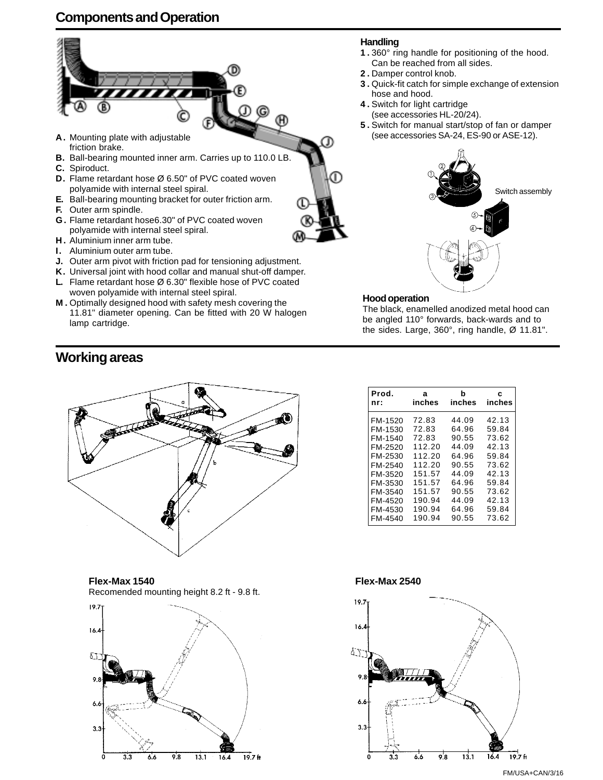## **Components and Operation**



- **D.** Flame retardant hose Ø 6.50" of PVC coated woven polyamide with internal steel spiral.
- **E.** Ball-bearing mounting bracket for outer friction arm.
- **F.** Outer arm spindle.
- **G .** Flame retardant hose6.30" of PVC coated woven polyamide with internal steel spiral.
- **H .** Aluminium inner arm tube.
- **I.** Aluminium outer arm tube.
- **J.** Outer arm pivot with friction pad for tensioning adjustment.
- **K.** Universal joint with hood collar and manual shut-off damper. **L.** Flame retardant hose Ø 6.30" flexible hose of PVC coated
- woven polyamide with internal steel spiral. **M .** Optimally designed hood with safety mesh covering the 11.81" diameter opening. Can be fitted with 20 W halogen lamp cartridge.

**Working areas**



**Flex-Max 1540** Recomended mounting height 8.2 ft - 9.8 ft.



#### **Handling**

- **1 .** 360° ring handle for positioning of the hood. Can be reached from all sides.
- **2 .** Damper control knob.
- **3 .** Quick-fit catch for simple exchange of extension hose and hood.
- **4 .** Switch for light cartridge (see accessories HL-20/24).
- **5 .** Switch for manual start/stop of fan or damper (see accessories SA-24, ES-90 or ASE-12).



#### **Hood operation**

The black, enamelled anodized metal hood can be angled 110° forwards, back-wards and to the sides. Large, 360°, ring handle, Ø 11.81".

| Prod.<br>nr: | а<br>inches | b<br>inches | c<br>inches |
|--------------|-------------|-------------|-------------|
| FM-1520      | 72.83       | 44.09       | 42.13       |
| FM-1530      | 72.83       | 64.96       | 59.84       |
| FM-1540      | 72.83       | 90.55       | 73.62       |
| FM-2520      | 112.20      | 44.09       | 42.13       |
| FM-2530      | 112.20      | 64.96       | 59.84       |
| FM-2540      | 112.20      | 90.55       | 73.62       |
| FM-3520      | 151.57      | 44.09       | 42.13       |
| FM-3530      | 151.57      | 64.96       | 59.84       |
| FM-3540      | 151.57      | 90.55       | 73.62       |
| FM-4520      | 190.94      | 44.09       | 42.13       |
| FM-4530      | 190.94      | 64.96       | 59.84       |
| FM-4540      | 190.94      | 90.55       | 73.62       |

#### **Flex-Max 2540**



FM/USA+CAN/3/16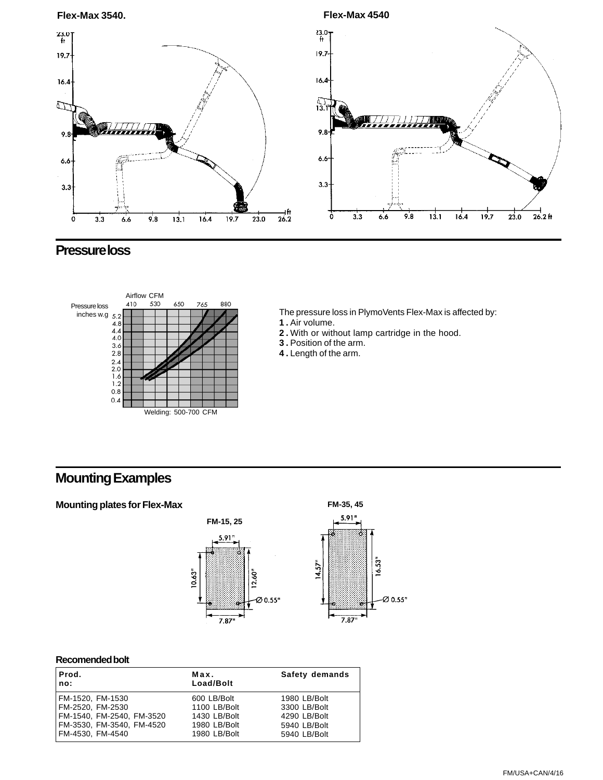

## **Pressure loss**



The pressure loss in PlymoVents Flex-Max is affected by: **1 .** Air volume.

- **2 .** With or without lamp cartridge in the hood.
- **3 .** Position of the arm.
- **4 .** Length of the arm.

## **Mounting Examples**



#### **Recomended bolt**

| Prod.<br>no:              | Max.<br>Load/Bolt | Safety demands |
|---------------------------|-------------------|----------------|
| FM-1520, FM-1530          | 600 LB/Bolt       | 1980 LB/Bolt   |
| FM-2520, FM-2530          | 1100 LB/Bolt      | 3300 LB/Bolt   |
| FM-1540, FM-2540, FM-3520 | 1430 LB/Bolt      | 4290 LB/Bolt   |
| FM-3530, FM-3540, FM-4520 | 1980 LB/Bolt      | 5940 LB/Bolt   |
| FM-4530, FM-4540          | 1980 LB/Bolt      | 5940 LB/Bolt   |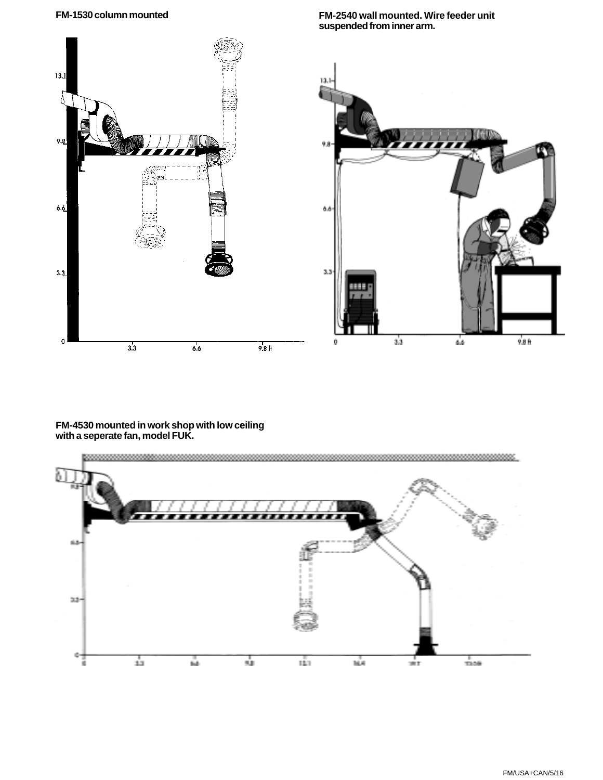**FM-1530 column mounted FM-2540 wall mounted. Wire feeder unit**



#### **FM-4530 mounted in work shop with low ceiling with a seperate fan, model FUK.**



FM/USA+CAN/5/16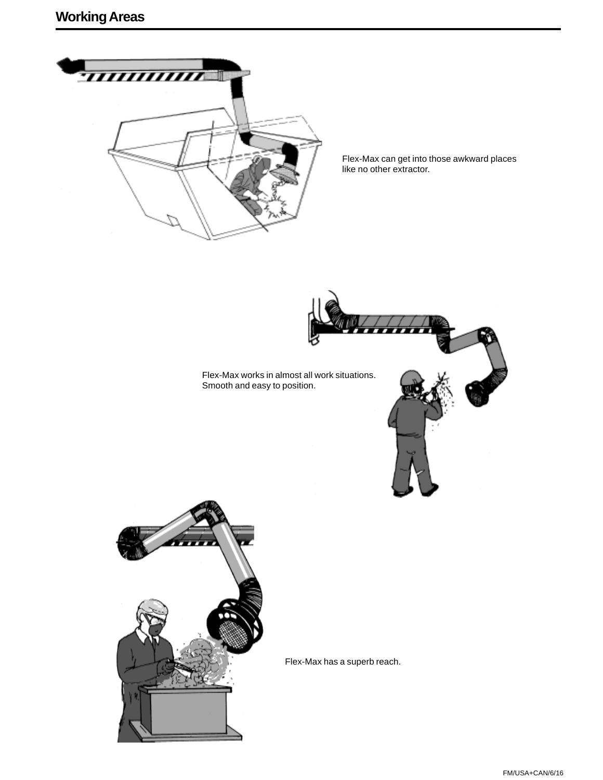

Flex-Max can get into those awkward places like no other extractor.





Flex-Max has a superb reach.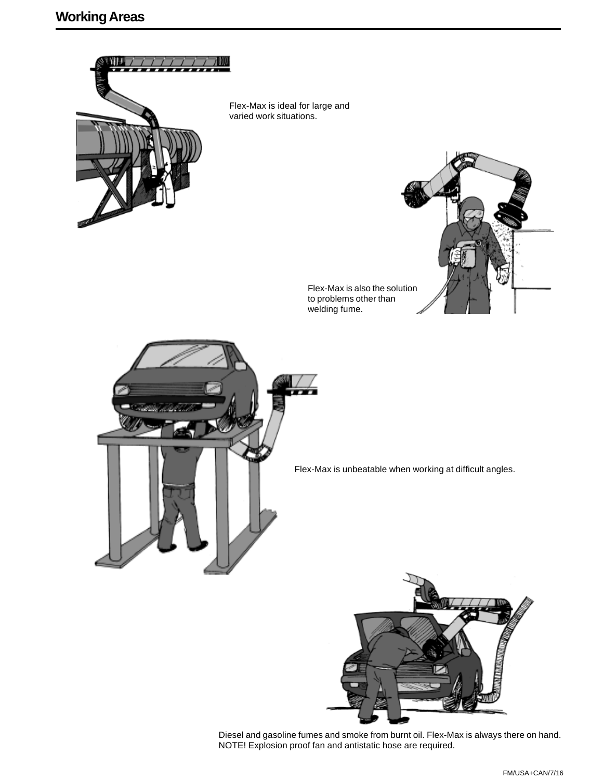

Flex-Max is ideal for large and varied work situations.



Flex-Max is also the solution to problems other than welding fume.



Flex-Max is unbeatable when working at difficult angles.



Diesel and gasoline fumes and smoke from burnt oil. Flex-Max is always there on hand. NOTE! Explosion proof fan and antistatic hose are required.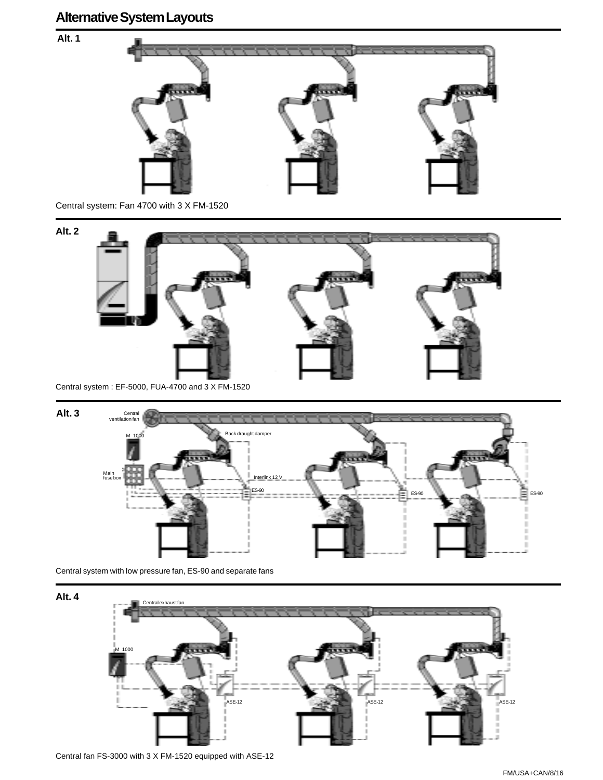**Alt. 1**



Central system: Fan 4700 with 3 X FM-1520



Central system : EF-5000, FUA-4700 and 3 X FM-1520



Central system with low pressure fan, ES-90 and separate fans

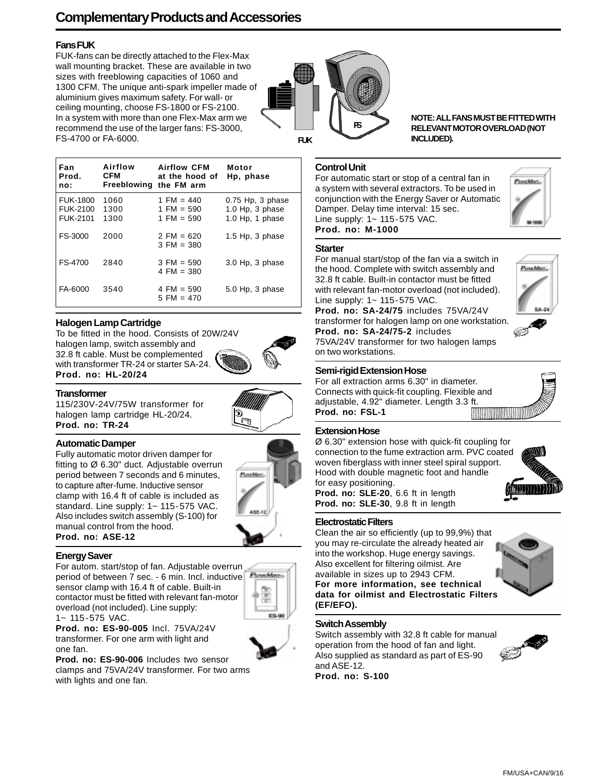## **Complementary Products and Accessories**

#### **Fans FUK**

FUK-fans can be directly attached to the Flex-Max wall mounting bracket. These are available in two sizes with freeblowing capacities of 1060 and 1300 CFM. The unique anti-spark impeller made of aluminium gives maximum safety. For wall- or ceiling mounting, choose FS-1800 or FS-2100. In a system with more than one Flex-Max arm we recommend the use of the larger fans: FS-3000, FS-4700 or FA-6000.

| Fan<br>Prod.<br>no:                            | Airflow<br><b>CFM</b><br>Freeblowing the FM arm | <b>Airflow CFM</b><br>at the hood of         | Motor<br>Hp, phase                                       |
|------------------------------------------------|-------------------------------------------------|----------------------------------------------|----------------------------------------------------------|
| <b>FUK-1800</b><br>FUK-2100<br><b>FUK-2101</b> | 1060<br>1300<br>1300                            | 1 FM = $440$<br>1 FM = $590$<br>1 FM = $590$ | $0.75$ Hp, 3 phase<br>1.0 Hp, 3 phase<br>1.0 Hp, 1 phase |
| FS-3000                                        | 2000                                            | 2 FM = $620$<br>$3$ FM = 380                 | $1.5$ Hp, 3 phase                                        |
| FS-4700                                        | 2840                                            | $3$ FM = 590<br>4 FM = $380$                 | 3.0 Hp, 3 phase                                          |
| FA-6000                                        | 3540                                            | 4 FM = $590$<br>$5$ FM = 470                 | 5.0 Hp, 3 phase                                          |

#### **Halogen Lamp Cartridge**

To be fitted in the hood. Consists of 20W/24V halogen lamp, switch assembly and 32.8 ft cable. Must be complemented with transformer TR-24 or starter SA-24. **Prod. no: HL-20/24**



#### **Transformer**

115/230V-24V/75W transformer for halogen lamp cartridge HL-20/24. **Prod. no: TR-24**

#### **Automatic Damper**

Fully automatic motor driven damper for fitting to Ø 6.30" duct. Adjustable overrun period between 7 seconds and 6 minutes, to capture after-fume. Inductive sensor clamp with 16.4 ft of cable is included as standard. Line supply: 1~ 115-575 VAC. Also includes switch assembly (S-100) for manual control from the hood. **Prod. no: ASE-12**



#### **Energy Saver**

For autom. start/stop of fan. Adjustable overrun period of between 7 sec. - 6 min. Incl. inductive sensor clamp with 16.4 ft of cable. Built-in contactor must be fitted with relevant fan-motor overload (not included). Line supply: 1~ 115-575 VAC.



**Prod. no: ES-90-005** Incl. 75VA/24V transformer. For one arm with light and one fan.

**Prod. no: ES-90-006** Includes two sensor clamps and 75VA/24V transformer. For two arms with lights and one fan.



**NOTE: ALL FANS MUST BE FITTED WITH RELEVANT MOTOR OVERLOAD (NOT INCLUDED).**

#### **Control Unit**

For automatic start or stop of a central fan in a system with several extractors. To be used in conjunction with the Energy Saver or Automatic Damper. Delay time interval: 15 sec. Line supply: 1~ 115-575 VAC. **Prod. no: M-1000**



#### **Starter**

For manual start/stop of the fan via a switch in the hood. Complete with switch assembly and 32.8 ft cable. Built-in contactor must be fitted with relevant fan-motor overload (not included). Line supply: 1~ 115-575 VAC.

**Prod. no: SA-24/75** includes 75VA/24V transformer for halogen lamp on one workstation. **Prod. no: SA-24/75-2** includes



75VA/24V transformer for two halogen lamps on two workstations.

#### **Semi-rigid Extension Hose**

For all extraction arms 6.30" in diameter. Connects with quick-fit coupling. Flexible and adjustable, 4.92" diameter. Length 3.3 ft. **Prod. no: FSL-1**



#### **Extension Hose**

Ø 6.30" extension hose with quick-fit coupling for connection to the fume extraction arm. PVC coated woven fiberglass with inner steel spiral support. Hood with double magnetic foot and handle for easy positioning. **Prod. no: SLE-20**, 6.6 ft in length **Prod. no: SLE-30**, 9.8 ft in length



Clean the air so efficiently (up to 99,9%) that you may re-circulate the already heated air into the workshop. Huge energy savings. Also excellent for filtering oilmist. Are available in sizes up to 2943 CFM. **For more information, see technical data for oilmist and Electrostatic Filters (EF/EFO).**



#### **Switch Assembly**

Switch assembly with 32.8 ft cable for manual operation from the hood of fan and light. Also supplied as standard as part of ES-90 and ASE-12. **Prod. no: S-100**

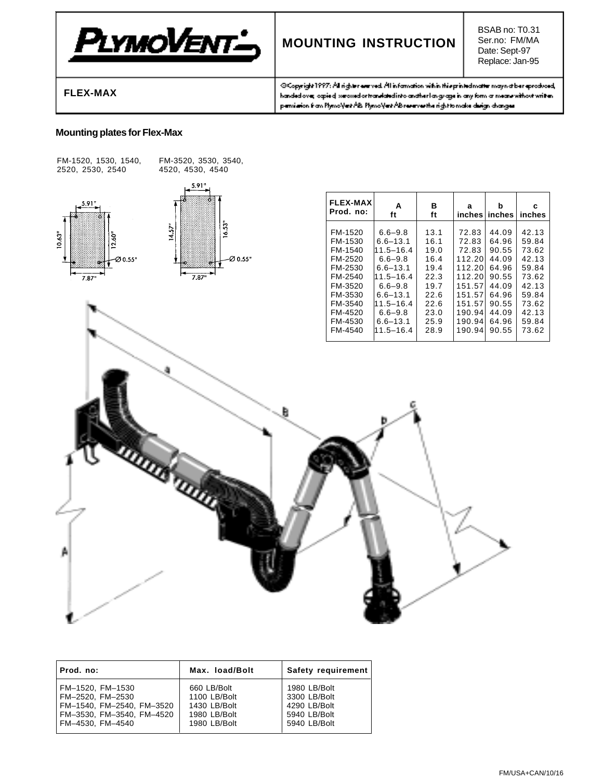

## **MOUNTING INSTRUCTION**

BSAB no: T0.31 Ser.no: FM/MA Date: Sept-97 Replace: Jan-95

**FLEX-MAX**

@Copyright1997: All righter everyed. All information within this printed matter may not be reproduced, handed over agrised we awd or translated into another language in any form a means without written. pensiation from PlymoNest AB. PlymoNest AB reserves the right to make durign changes

#### **Mounting plates for Flex-Max**



| Prod. no:                 | Max. load/Bolt | Safety requirement |
|---------------------------|----------------|--------------------|
| FM-1520. FM-1530          | 660 LB/Bolt    | 1980 LB/Bolt       |
| FM-2520. FM-2530          | 1100 LB/Bolt   | 3300 LB/Bolt       |
| FM-1540, FM-2540, FM-3520 | 1430 LB/Bolt   | 4290 LB/Bolt       |
| FM-3530, FM-3540, FM-4520 | 1980 LB/Bolt   | 5940 LB/Bolt       |
| FM-4530. FM-4540          | 1980 LB/Bolt   | 5940 LB/Bolt       |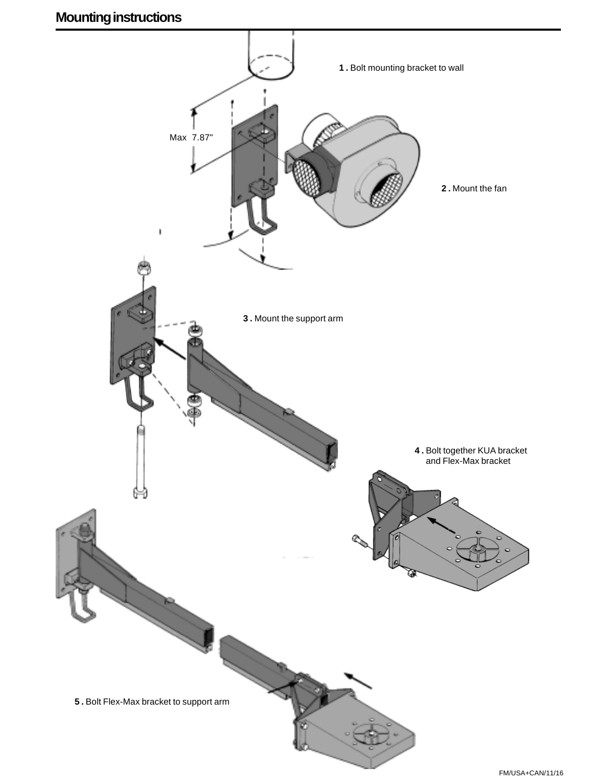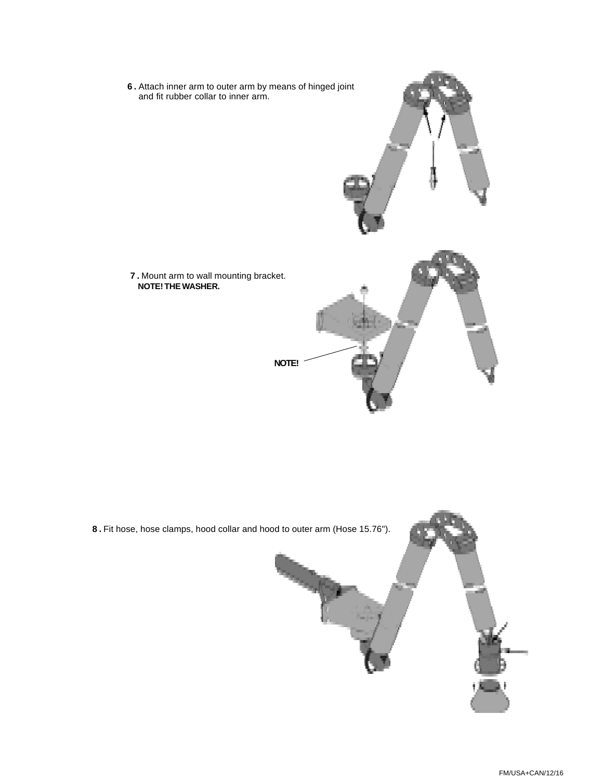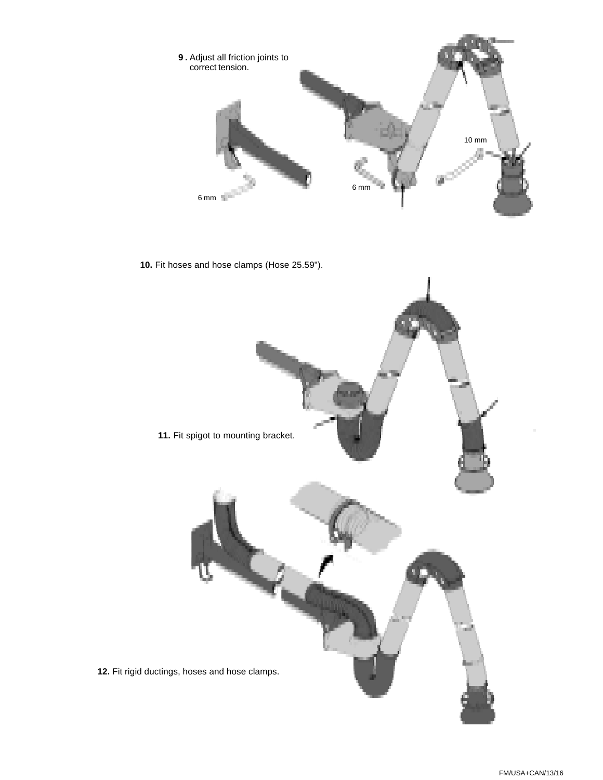

**10.** Fit hoses and hose clamps (Hose 25.59").

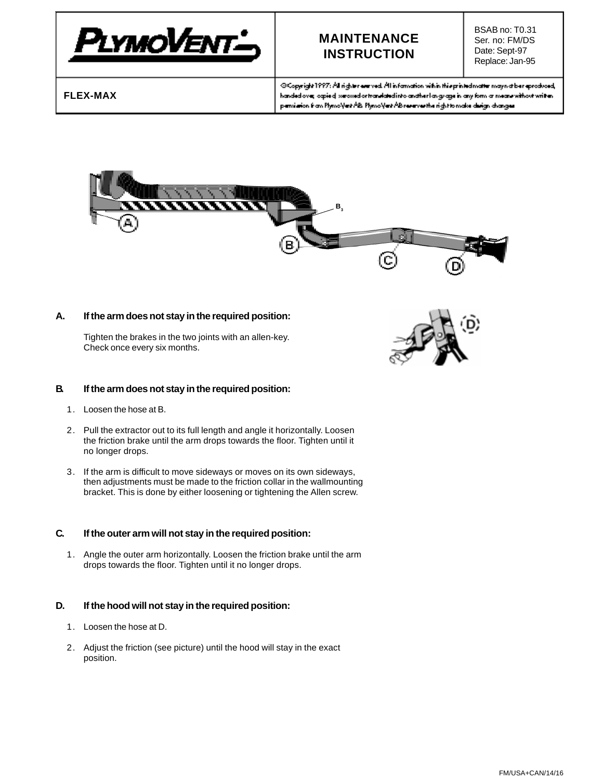

## **MAINTENANCE INSTRUCTION**

BSAB no: T0.31 Ser. no: FM/DS Date: Sept-97 Replace: Jan-95

**FLEX-MAX**

@Copyright1997: All righter everyed. All information within this printed matter may not be reproduced, handed over opied we wed or translated into anather language in any form a means without written. pensiation from PlymoNest AB. PlymoNest AB reserves the right to make durign changes.



#### **A. If the arm does not stay in the required position:**

Tighten the brakes in the two joints with an allen-key. Check once every six months.



#### **B. If the arm does not stay in the required position:**

- 1. Loosen the hose at B.
- 2. Pull the extractor out to its full length and angle it horizontally. Loosen the friction brake until the arm drops towards the floor. Tighten until it no longer drops.
- 3. If the arm is difficult to move sideways or moves on its own sideways, then adjustments must be made to the friction collar in the wallmounting bracket. This is done by either loosening or tightening the Allen screw.

#### **C. If the outer arm will not stay in the required position:**

1. Angle the outer arm horizontally. Loosen the friction brake until the arm drops towards the floor. Tighten until it no longer drops.

#### **D. If the hood will not stay in the required position:**

- 1. Loosen the hose at D.
- 2. Adjust the friction (see picture) until the hood will stay in the exact position.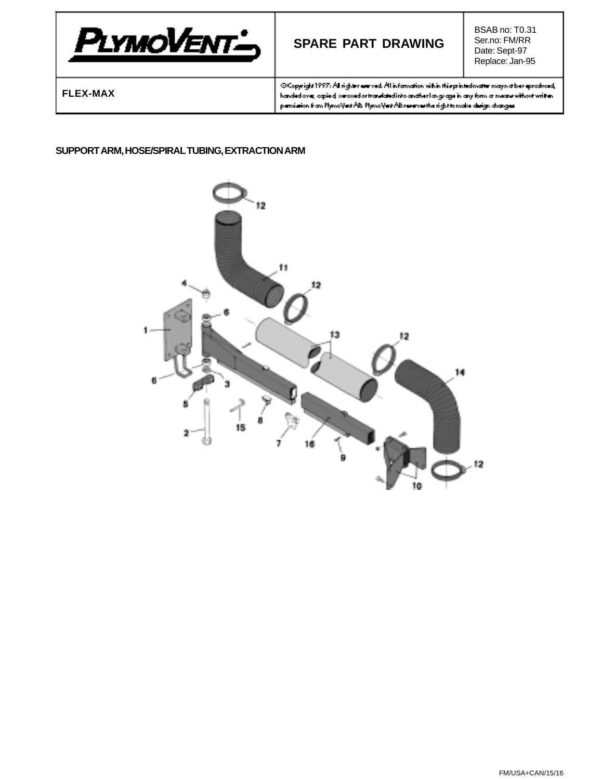

## **SPARE PART DRAWING**

BSAB no: T0.31 Ser.no: FM/RR Date: Sept-97 Replace: Jan-95

**FLEX-MAX**

@Copyright1997: All righter entroved. All information within this printed matter may not be reproduced, handed over opied weaved ortranslated into anather language in any form at means without written. pensiation from PlymoVert AB. PlymoVert AB reserves the right to make design changes.

#### **SUPPORT ARM, HOSE/SPIRAL TUBING, EXTRACTION ARM**